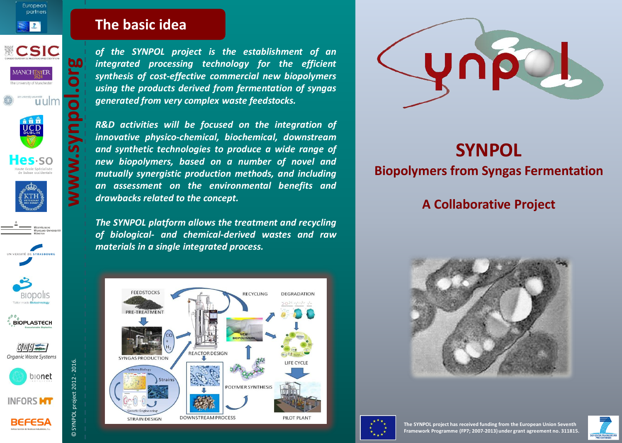

European partners  $\left| \mathbf{I} \right|$ 







Hes-so













**INFORS MT** 



**The basic idea The basic idea**

*of the SYNPOL project is the establishment of an integrated processing technology for the efficient synthesis of cost-effective commercial new biopolymers using the products derived from fermentation of syngas generated from very complex waste feedstocks.*

*R&D activities will be focused on the integration of innovative physico-chemical, biochemical, downstream and synthetic technologies to produce a wide range of new biopolymers, based on a number of novel and mutually synergistic production methods, and including an assessment on the environmental benefits and*

*The SYNPOL platform allows the treatment and recycling of biological- and chemical-derived wastes and raw*

RECYCLING

**DEGRADATION** 

LIEE CVCLI

PILOT PLAN



**bo** 









© SYNPOL project 2012 - 2016.

© SYNPOL project 2012 - 2016.



**FEEDSTOCKS** 

PRE-TREATMENT

*drawbacks related to the concept.*

*materials in a single integrated process.*



# **SYNPOL**

#### **Biopolymers from Syngas Fermentation**

### **A Collaborative Project**